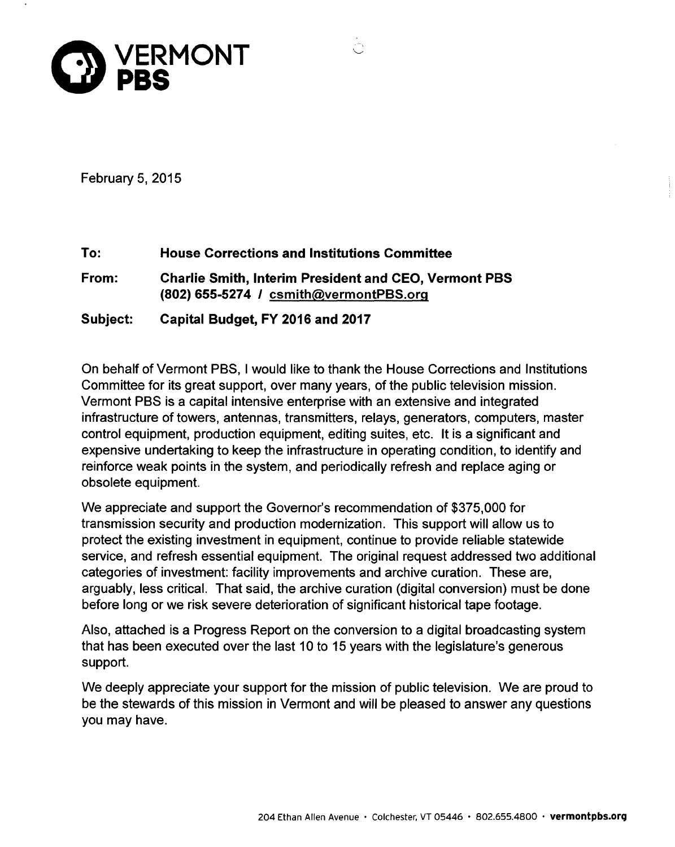

February 5, 2015

**To: House Corrections and Institutions Committee From: Charlie Smith, Interim President and CEO, Vermont PBS (802) 655-5274 / csmith(ayermontPBS.orq Subject: Capital Budget, FY 2016 and 2017** 

On behalf of Vermont PBS, I would like to thank the House Corrections and Institutions Committee for its great support, over many years, of the public television mission. Vermont PBS is a capital intensive enterprise with an extensive and integrated infrastructure of towers, antennas, transmitters, relays, generators, computers, master control equipment, production equipment, editing suites, etc. It is a significant and expensive undertaking to keep the infrastructure in operating condition, to identify and reinforce weak points in the system, and periodically refresh and replace aging or obsolete equipment.

We appreciate and support the Governor's recommendation of \$375,000 for transmission security and production modernization. This support will allow us to protect the existing investment in equipment, continue to provide reliable statewide service, and refresh essential equipment. The original request addressed two additional categories of investment: facility improvements and archive curation. These are, arguably, less critical. That said, the archive curation (digital conversion) must be done before long or we risk severe deterioration of significant historical tape footage.

Also, attached is a Progress Report on the conversion to a digital broadcasting system that has been executed over the last 10 to 15 years with the legislature's generous support.

We deeply appreciate your support for the mission of public television. We are proud to be the stewards of this mission in Vermont and will be pleased to answer any questions you may have.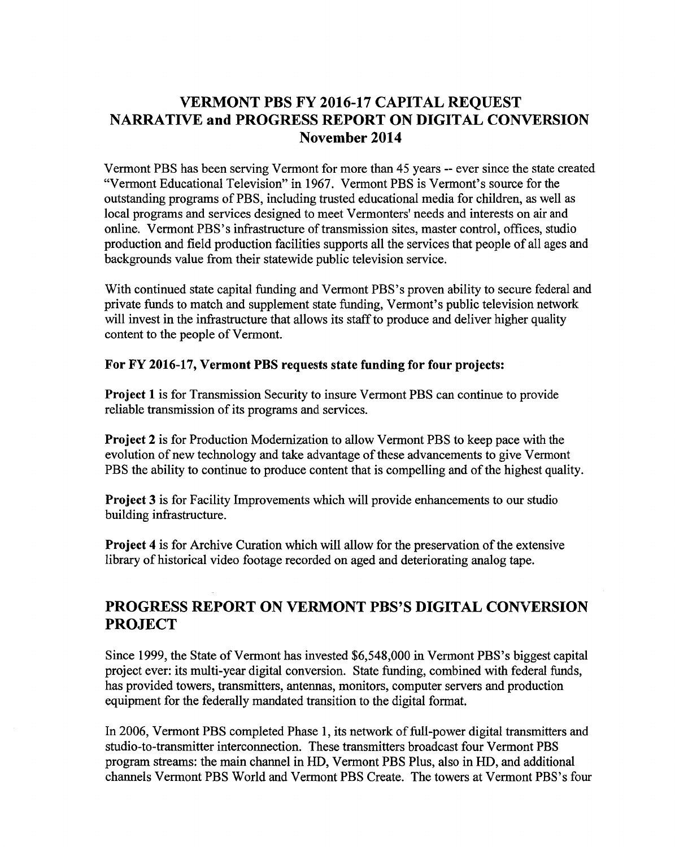# **VERMONT PBS FY 2016-17 CAPITAL REQUEST NARRATIVE and PROGRESS REPORT ON DIGITAL CONVERSION November 2014**

Vermont PBS has been serving Vermont for more than 45 years -- ever since the state created "Vermont Educational Television" in 1967. Vermont PBS is Vermont's source for the outstanding programs of PBS, including trusted educational media for children, as well as local programs and services designed to meet Vermonters' needs and interests on air and online. Vermont PBS's infrastructure of transmission sites, master control, offices, studio production and field production facilities supports all the services that people of all ages and backgrounds value from their statewide public television service.

With continued state capital funding and Vermont PBS's proven ability to secure federal and private funds to match and supplement state funding, Vermont's public television network will invest in the infrastructure that allows its staff to produce and deliver higher quality content to the people of Vermont.

### **For FY 2016-17, Vermont PBS requests state funding for four projects:**

**Project 1** is for Transmission Security to insure Vermont PBS can continue to provide reliable transmission of its programs and services.

**Project 2** is for Production Modernization to allow Vermont PBS to keep pace with the evolution of new technology and take advantage of these advancements to give Vermont PBS the ability to continue to produce content that is compelling and of the highest quality.

**Project 3** is for Facility Improvements which will provide enhancements to our studio building infrastructure.

**Project 4** is for Archive Curation which will allow for the preservation of the extensive library of historical video footage recorded on aged and deteriorating analog tape.

# **PROGRESS REPORT ON VERMONT PBS'S DIGITAL CONVERSION PROJECT**

Since 1999, the State of Vermont has invested \$6,548,000 in Vermont PBS's biggest capital project ever: its multi-year digital conversion. State funding, combined with federal funds, has provided towers, transmitters, antennas, monitors, computer servers and production equipment for the federally mandated transition to the digital format.

In 2006, Vermont PBS completed Phase 1, its network of full-power digital transmitters and studio-to-transmitter interconnection. These transmitters broadcast four Vermont PBS program streams: the main channel in HD, Vermont PBS Plus, also in HD, and additional channels Vermont PBS World and Vermont PBS Create. The towers at Vermont PBS's four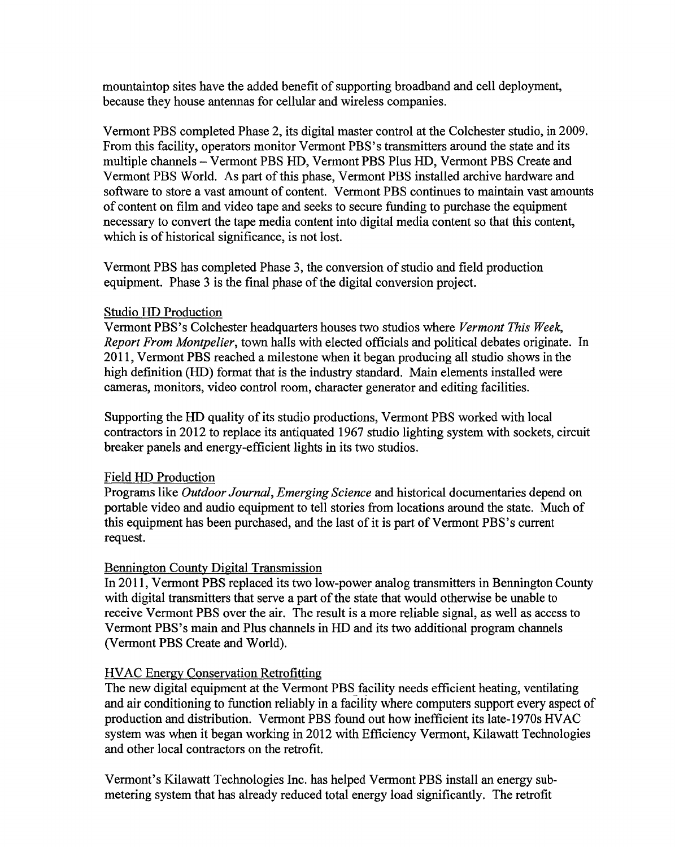mountaintop sites have the added benefit of supporting broadband and cell deployment, because they house antennas for cellular and wireless companies.

Vermont PBS completed Phase 2, its digital master control at the Colchester studio, in 2009. From this facility, operators monitor Vermont PBS's transmitters around the state and its multiple channels — Vermont PBS HD, Vermont PBS Plus HD, Vermont PBS Create and Vermont PBS World. As part of this phase, Vermont PBS installed archive hardware and software to store a vast amount of content. Vermont PBS continues to maintain vast amounts of content on film and video tape and seeks to secure funding to purchase the equipment necessary to convert the tape media content into digital media content so that this content, which is of historical significance, is not lost.

Vermont PBS has completed Phase 3, the conversion of studio and field production equipment. Phase 3 is the final phase of the digital conversion project.

### Studio HD Production

Vermont PBS's Colchester headquarters houses two studios where *Vermont This Week, Report From Montpelier,* town halls with elected officials and political debates originate. In 2011, Vermont PBS reached a milestone when it began producing all studio shows in the high definition (HD) format that is the industry standard. Main elements installed were cameras, monitors, video control room, character generator and editing facilities.

Supporting the HD quality of its studio productions, Vermont PBS worked with local contractors in 2012 to replace its antiquated 1967 studio lighting system with sockets, circuit breaker panels and energy-efficient lights in its two studios.

# Field HD Production

Programs like *Outdoor Journal, Emerging Science* and historical documentaries depend on portable video and audio equipment to tell stories from locations around the state. Much of this equipment has been purchased, and the last of it is part of Vermont PBS's current request.

# Bennington County Digital Transmission

In 2011, Vermont PBS replaced its two low-power analog transmitters in Bennington County with digital transmitters that serve a part of the state that would otherwise be unable to receive Vermont PBS over the air. The result is a more reliable signal, as well as access to Vermont PBS's main and Plus channels in HD and its two additional program channels (Vermont PBS Create and World).

# HVAC Energy Conservation Retrofitting

The new digital equipment at the Vermont PBS facility needs efficient heating, ventilating and air conditioning to function reliably in a facility where computers support every aspect of production and distribution. Vermont PBS found out how inefficient its late-1970s HVAC system was when it began working in 2012 with Efficiency Vermont, Kilawatt Technologies and other local contractors on the retrofit.

Vermont's Kilawatt Technologies Inc. has helped Vermont PBS install an energy submetering system that has already reduced total energy load significantly. The retrofit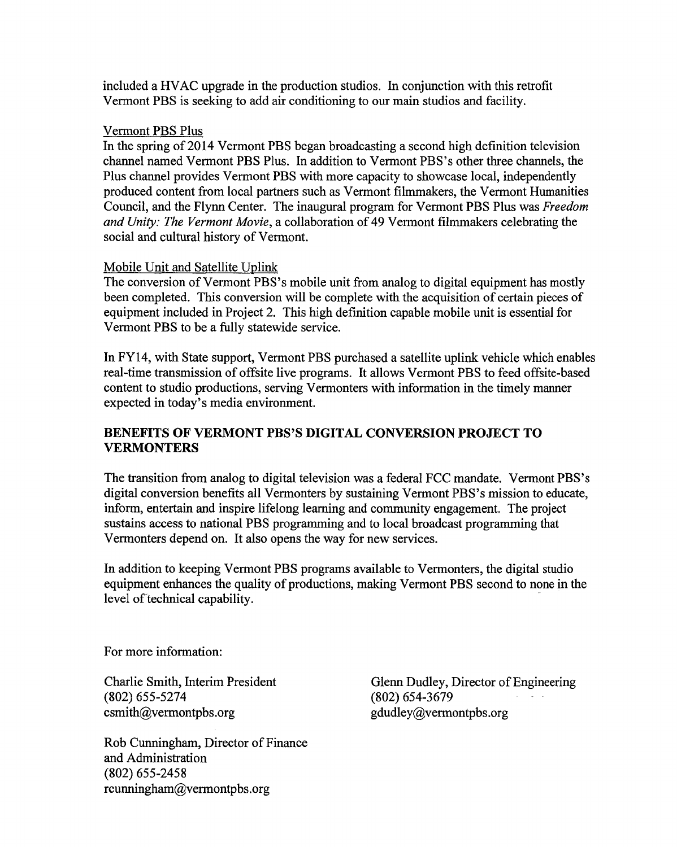included a HVAC upgrade in the production studios. In conjunction with this retrofit Vermont PBS is seeking to add air conditioning to our main studios and facility.

#### Vermont PBS Plus

In the spring of 2014 Vermont PBS began broadcasting a second high definition television channel named Vermont PBS Plus. In addition to Vermont PBS's other three channels, the Plus channel provides Vermont PBS with more capacity to showcase local, independently produced content from local partners such as Vermont filmmakers, the Vermont Humanities Council, and the Flynn Center. The inaugural program for Vermont PBS Plus was *Freedom and Unity: The Vermont Movie,* a collaboration of 49 Vermont filmmakers celebrating the social and cultural history of Vermont.

#### Mobile Unit and Satellite Uplink

The conversion of Vermont PBS's mobile unit from analog to digital equipment has mostly been completed. This conversion will be complete with the acquisition of certain pieces of equipment included in Project 2. This high definition capable mobile unit is essential for Vermont PBS to be a fully statewide service.

In FY14, with State support, Vermont PBS purchased a satellite uplink vehicle which enables real-time transmission of offsite live programs. It allows Vermont PBS to feed offsite-based content to studio productions, serving Vermonters with information in the timely manner expected in today's media environment.

### **BENEFITS OF VERMONT PBS'S DIGITAL CONVERSION PROJECT TO VERMONTERS**

The transition from analog to digital television was a federal FCC mandate. Vermont PBS's digital conversion benefits all Vermonters by sustaining Vermont PBS's mission to educate, inform, entertain and inspire lifelong learning and community engagement. The project sustains access to national PBS programming and to local broadcast programming that Vermonters depend on. It also opens the way for new services.

In addition to keeping Vermont PBS programs available to Vermonters, the digital studio equipment enhances the quality of productions, making Vermont PBS second to none in the level of technical capability.

For more information:

Charlie Smith, Interim President (802) 655-5274 csmith@vermontpbs.org

Rob Cunningham, Director of Finance and Administration (802) 655-2458 rcunningham@vermontpbs.org

Glenn Dudley, Director of Engineering (802) 654-3679 gdudley@vermontpbs.org